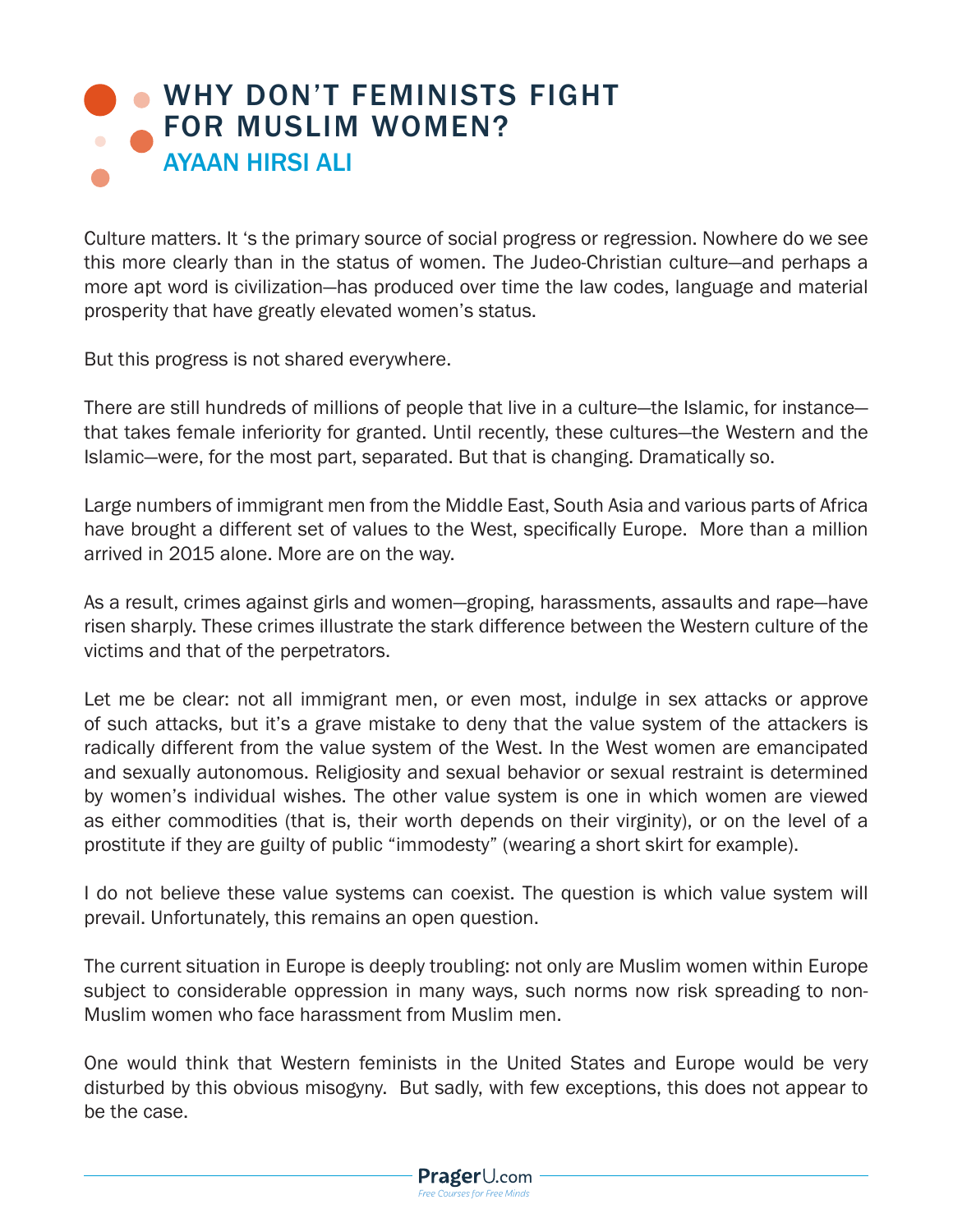## **. [WHY DON'T FEMINISTS FIGHT](https://www.prageru.com/courses/political-science/why-dont-feminists-fight-muslim-women)** FOR MUSLIM WOMEN? AYAAN HIRSI ALI

Culture matters. It 's the primary source of social progress or regression. Nowhere do we see this more clearly than in the status of women. The Judeo-Christian culture—and perhaps a more apt word is civilization—has produced over time the law codes, language and material prosperity that have greatly elevated women's status.

But this progress is not shared everywhere.

There are still hundreds of millions of people that live in a culture—the Islamic, for instance that takes female inferiority for granted. Until recently, these cultures—the Western and the Islamic—were, for the most part, separated. But that is changing. Dramatically so.

Large numbers of immigrant men from the Middle East, South Asia and various parts of Africa have brought a different set of values to the West, specifically Europe. More than a million arrived in 2015 alone. More are on the way.

As a result, crimes against girls and women—groping, harassments, assaults and rape—have risen sharply. These crimes illustrate the stark difference between the Western culture of the victims and that of the perpetrators.

Let me be clear: not all immigrant men, or even most, indulge in sex attacks or approve of such attacks, but it's a grave mistake to deny that the value system of the attackers is radically different from the value system of the West. In the West women are emancipated and sexually autonomous. Religiosity and sexual behavior or sexual restraint is determined by women's individual wishes. The other value system is one in which women are viewed as either commodities (that is, their worth depends on their virginity), or on the level of a prostitute if they are guilty of public "immodesty" (wearing a short skirt for example).

I do not believe these value systems can coexist. The question is which value system will prevail. Unfortunately, this remains an open question.

The current situation in Europe is deeply troubling: not only are Muslim women within Europe subject to considerable oppression in many ways, such norms now risk spreading to non-Muslim women who face harassment from Muslim men.

One would think that Western feminists in the United States and Europe would be very disturbed by this obvious misogyny. But sadly, with few exceptions, this does not appear to be the case.